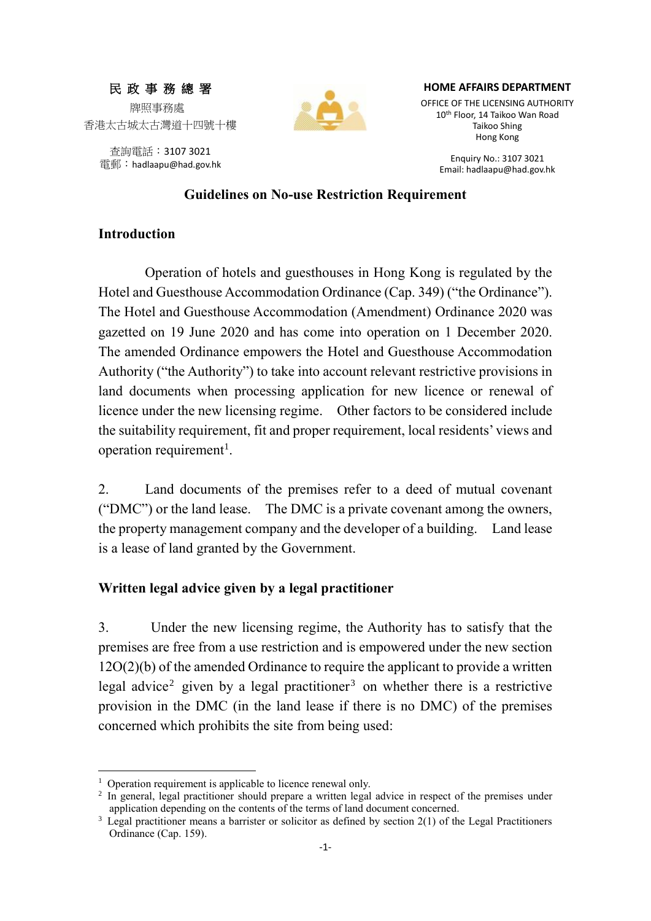# 民 政 事 務 總 署 牌照事務處 香港太古城太古灣道十四號十樓

查詢電話:3107 3021 電郵:hadlaapu@had.gov.hk



#### **HOME AFFAIRS DEPARTMENT**

OFFICE OF THE LICENSING AUTHORITY 10 th Floor, 14 Taikoo Wan Road Taikoo Shing Hong Kong

> Enquiry No.: 3107 3021 Email: hadlaapu@had.gov.hk

#### **Guidelines on No-use Restriction Requirement**

### **Introduction**

Operation of hotels and guesthouses in Hong Kong is regulated by the Hotel and Guesthouse Accommodation Ordinance (Cap. 349) ("the Ordinance"). The Hotel and Guesthouse Accommodation (Amendment) Ordinance 2020 was gazetted on 19 June 2020 and has come into operation on 1 December 2020. The amended Ordinance empowers the Hotel and Guesthouse Accommodation Authority ("the Authority") to take into account relevant restrictive provisions in land documents when processing application for new licence or renewal of licence under the new licensing regime. Other factors to be considered include the suitability requirement, fit and proper requirement, local residents' views and operation requirement<sup>1</sup>.

2. Land documents of the premises refer to a deed of mutual covenant ("DMC") or the land lease. The DMC is a private covenant among the owners, the property management company and the developer of a building. Land lease is a lease of land granted by the Government.

### **Written legal advice given by a legal practitioner**

3. Under the new licensing regime, the Authority has to satisfy that the premises are free from a use restriction and is empowered under the new section 12O(2)(b) of the amended Ordinance to require the applicant to provide a written legal advice<sup>2</sup> given by a legal practitioner<sup>3</sup> on whether there is a restrictive provision in the DMC (in the land lease if there is no DMC) of the premises concerned which prohibits the site from being used:

-

 $1$  Operation requirement is applicable to licence renewal only.

<sup>&</sup>lt;sup>2</sup> In general, legal practitioner should prepare a written legal advice in respect of the premises under application depending on the contents of the terms of land document concerned.

 $3$  Legal practitioner means a barrister or solicitor as defined by section  $2(1)$  of the Legal Practitioners Ordinance (Cap. 159).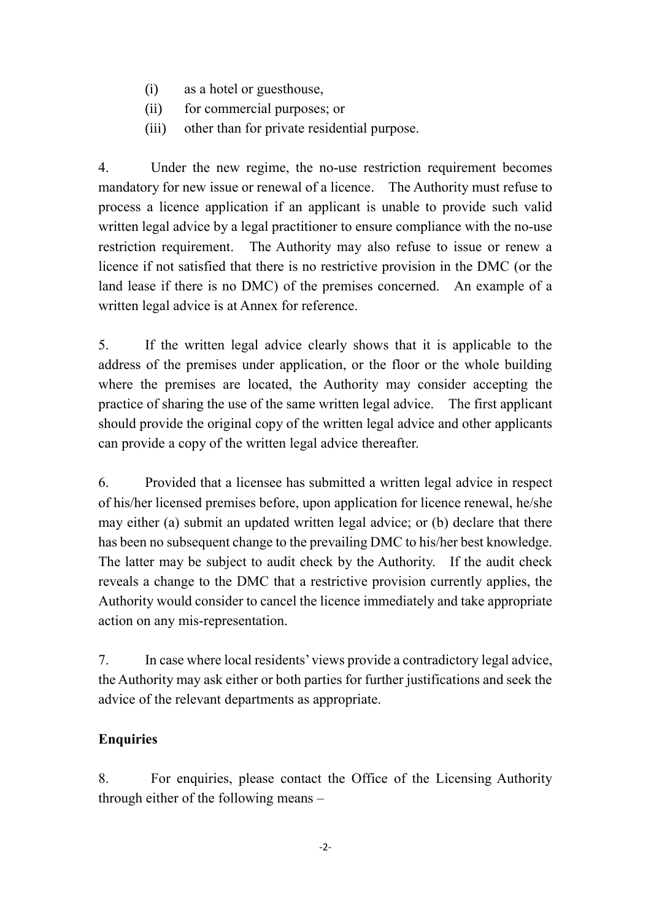- (i) as a hotel or guesthouse,
- (ii) for commercial purposes; or
- (iii) other than for private residential purpose.

4. Under the new regime, the no-use restriction requirement becomes mandatory for new issue or renewal of a licence. The Authority must refuse to process a licence application if an applicant is unable to provide such valid written legal advice by a legal practitioner to ensure compliance with the no-use restriction requirement. The Authority may also refuse to issue or renew a licence if not satisfied that there is no restrictive provision in the DMC (or the land lease if there is no DMC) of the premises concerned. An example of a written legal advice is at Annex for reference.

5. If the written legal advice clearly shows that it is applicable to the address of the premises under application, or the floor or the whole building where the premises are located, the Authority may consider accepting the practice of sharing the use of the same written legal advice. The first applicant should provide the original copy of the written legal advice and other applicants can provide a copy of the written legal advice thereafter.

6. Provided that a licensee has submitted a written legal advice in respect of his/her licensed premises before, upon application for licence renewal, he/she may either (a) submit an updated written legal advice; or (b) declare that there has been no subsequent change to the prevailing DMC to his/her best knowledge. The latter may be subject to audit check by the Authority. If the audit check reveals a change to the DMC that a restrictive provision currently applies, the Authority would consider to cancel the licence immediately and take appropriate action on any mis-representation.

7. In case where local residents' views provide a contradictory legal advice, the Authority may ask either or both parties for further justifications and seek the advice of the relevant departments as appropriate.

### **Enquiries**

8. For enquiries, please contact the Office of the Licensing Authority through either of the following means –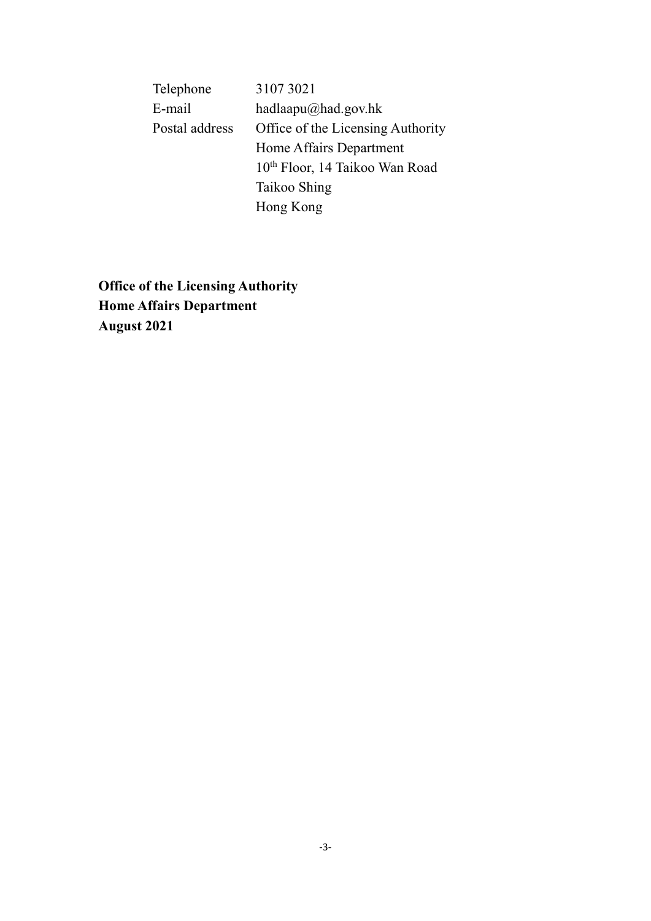| Telephone      | 3107 3021                                  |
|----------------|--------------------------------------------|
| E-mail         | hadlaapu $\omega$ had.gov.hk               |
| Postal address | Office of the Licensing Authority          |
|                | Home Affairs Department                    |
|                | 10 <sup>th</sup> Floor, 14 Taikoo Wan Road |
|                | Taikoo Shing                               |
|                | Hong Kong                                  |
|                |                                            |

**Office of the Licensing Authority Home Affairs Department August 2021**